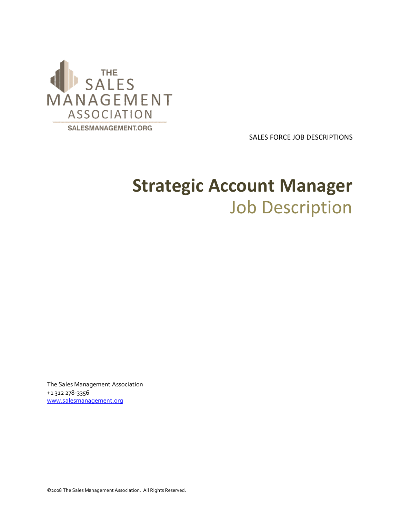

SALES FORCE JOB DESCRIPTIONS

## **Strategic Account Manager** Job Description

The Sales Management Association +1 312 278-3356 www.salesmanagement.org

©2008 The Sales Management Association. All Rights Reserved.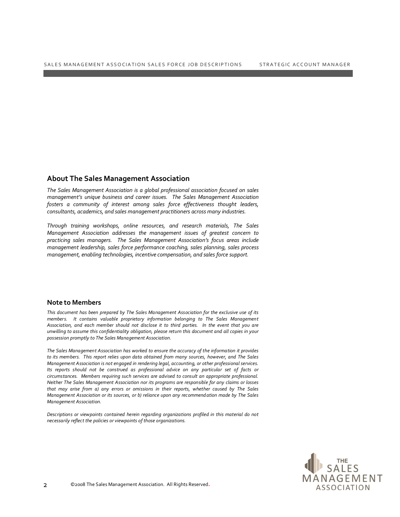## **About The Sales Management Association**

*The Sales Management Association is a global professional association focused on sales management's unique business and career issues. The Sales Management Association fosters a community of interest among sales force effectiveness thought leaders, consultants, academics, and sales management practitioners across many industries.*

*Through training workshops, online resources, and research materials, The Sales Management Association addresses the management issues of greatest concern to practicing sales managers. The Sales Management Association's focus areas include management leadership, sales force performance coaching, sales planning, sales process management, enabling technologies, incentive compensation, and sales force support.*

## **Note to Members**

*This document has been prepared by The Sales Management Association for the exclusive use of its members. It contains valuable proprietary information belonging to The Sales Management Association, and each member should not disclose it to third parties. In the event that you are unwilling to assume this confidentiality obligation, please return this document and all copies in your possession promptly to The Sales Management Association.*

*The Sales Management Association has worked to ensure the accuracy of the information it provides to its members. This report relies upon data obtained from many sources, however, and The Sales Management Association is not engaged in rendering legal, accounting, or other professional services. Its reports should not be construed as professional advice on any particular set of facts or circumstances. Members requiring such services are advised to consult an appropriate professional. Neither The Sales Management Association nor its programs are responsible for any claims or losses that may arise from a) any errors or omissions in their reports, whether caused by The Sales Management Association or its sources, or b) reliance upon any recommend ation made by The Sales Management Association.*

*Descriptions or viewpoints contained herein regarding organizations profiled in this material do not necessarily reflect the policies or viewpoints of those organizations.*

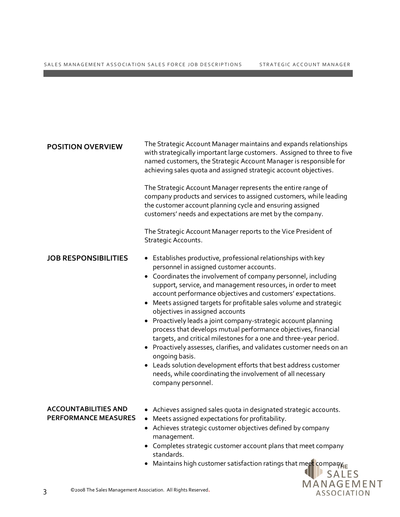| <b>POSITION OVERVIEW</b>                                          | The Strategic Account Manager maintains and expands relationships<br>with strategically important large customers. Assigned to three to five<br>named customers, the Strategic Account Manager is responsible for<br>achieving sales quota and assigned strategic account objectives.<br>The Strategic Account Manager represents the entire range of<br>company products and services to assigned customers, while leading<br>the customer account planning cycle and ensuring assigned<br>customers' needs and expectations are met by the company.<br>The Strategic Account Manager reports to the Vice President of<br>Strategic Accounts.                                                                                                                                                                                                                                         |                           |
|-------------------------------------------------------------------|----------------------------------------------------------------------------------------------------------------------------------------------------------------------------------------------------------------------------------------------------------------------------------------------------------------------------------------------------------------------------------------------------------------------------------------------------------------------------------------------------------------------------------------------------------------------------------------------------------------------------------------------------------------------------------------------------------------------------------------------------------------------------------------------------------------------------------------------------------------------------------------|---------------------------|
| <b>JOB RESPONSIBILITIES</b>                                       | • Establishes productive, professional relationships with key<br>personnel in assigned customer accounts.<br>• Coordinates the involvement of company personnel, including<br>support, service, and management resources, in order to meet<br>account performance objectives and customers' expectations.<br>Meets assigned targets for profitable sales volume and strategic<br>$\bullet$<br>objectives in assigned accounts<br>• Proactively leads a joint company-strategic account planning<br>process that develops mutual performance objectives, financial<br>targets, and critical milestones for a one and three-year period.<br>Proactively assesses, clarifies, and validates customer needs on an<br>ongoing basis.<br>• Leads solution development efforts that best address customer<br>needs, while coordinating the involvement of all necessary<br>company personnel. |                           |
| <b>ACCOUNTABILITIES AND</b><br><b>PERFORMANCE MEASURES</b>        | • Achieves assigned sales quota in designated strategic accounts.<br>Meets assigned expectations for profitability.<br>$\bullet$<br>• Achieves strategic customer objectives defined by company<br>management.<br>Completes strategic customer account plans that meet company<br>standards.<br>Maintains high customer satisfaction ratings that meet companyE                                                                                                                                                                                                                                                                                                                                                                                                                                                                                                                        | <b>SALES</b>              |
| ©2008 The Sales Management Association. All Rights Reserved.<br>3 |                                                                                                                                                                                                                                                                                                                                                                                                                                                                                                                                                                                                                                                                                                                                                                                                                                                                                        | MANAGEMENT<br>ASSOCIATION |